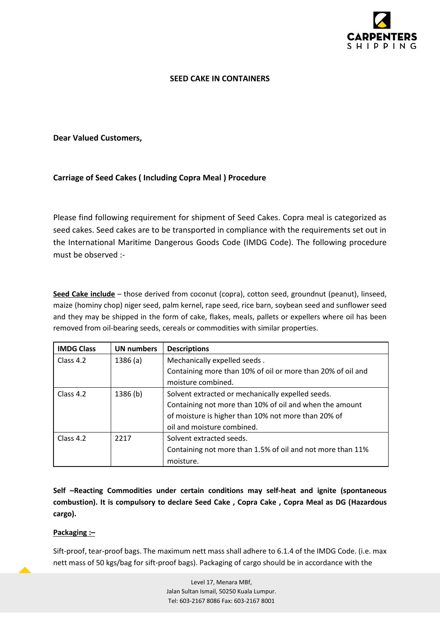

## **SEED CAKE IN CONTAINERS**

## **Dear Valued Customers,**

# **Carriage of Seed Cakes ( Including Copra Meal ) Procedure**

Please find following requirement for shipment of Seed Cakes. Copra meal is categorized as seed cakes. Seed cakes are to be transported in compliance with the requirements set out in the International Maritime Dangerous Goods Code (IMDG Code). The following procedure must be observed :-

**Seed Cake include** – those derived from coconut (copra), cotton seed, groundnut (peanut), linseed, maize (hominy chop) niger seed, palm kernel, rape seed, rice barn, soybean seed and sunflower seed and they may be shipped in the form of cake, flakes, meals, pallets or expellers where oil has been removed from oil-bearing seeds, cereals or commodities with similar properties.

| <b>IMDG Class</b> | <b>UN numbers</b> | <b>Descriptions</b>                                                                                            |  |
|-------------------|-------------------|----------------------------------------------------------------------------------------------------------------|--|
| Class 4.2         | 1386(a)           | Mechanically expelled seeds.                                                                                   |  |
|                   |                   | Containing more than 10% of oil or more than 20% of oil and                                                    |  |
|                   |                   | moisture combined.                                                                                             |  |
| Class 4.2         | 1386(b)           | Solvent extracted or mechanically expelled seeds.                                                              |  |
|                   |                   | Containing not more than 10% of oil and when the amount<br>of moisture is higher than 10% not more than 20% of |  |
|                   |                   |                                                                                                                |  |
|                   |                   | oil and moisture combined.                                                                                     |  |
| Class 4.2         | 2217              | Solvent extracted seeds.                                                                                       |  |
|                   |                   | Containing not more than 1.5% of oil and not more than 11%                                                     |  |
|                   |                   | moisture.                                                                                                      |  |

**Self –Reacting Commodities under certain conditions may self-heat and ignite (spontaneous combustion). It is compulsory to declare Seed Cake , Copra Cake , Copra Meal as DG (Hazardous cargo).**

#### **Packaging :–**

Sift-proof, tear-proof bags. The maximum nett mass shall adhere to 6.1.4 of the IMDG Code. (i.e. max nett mass of 50 kgs/bag for sift-proof bags). Packaging of cargo should be in accordance with the